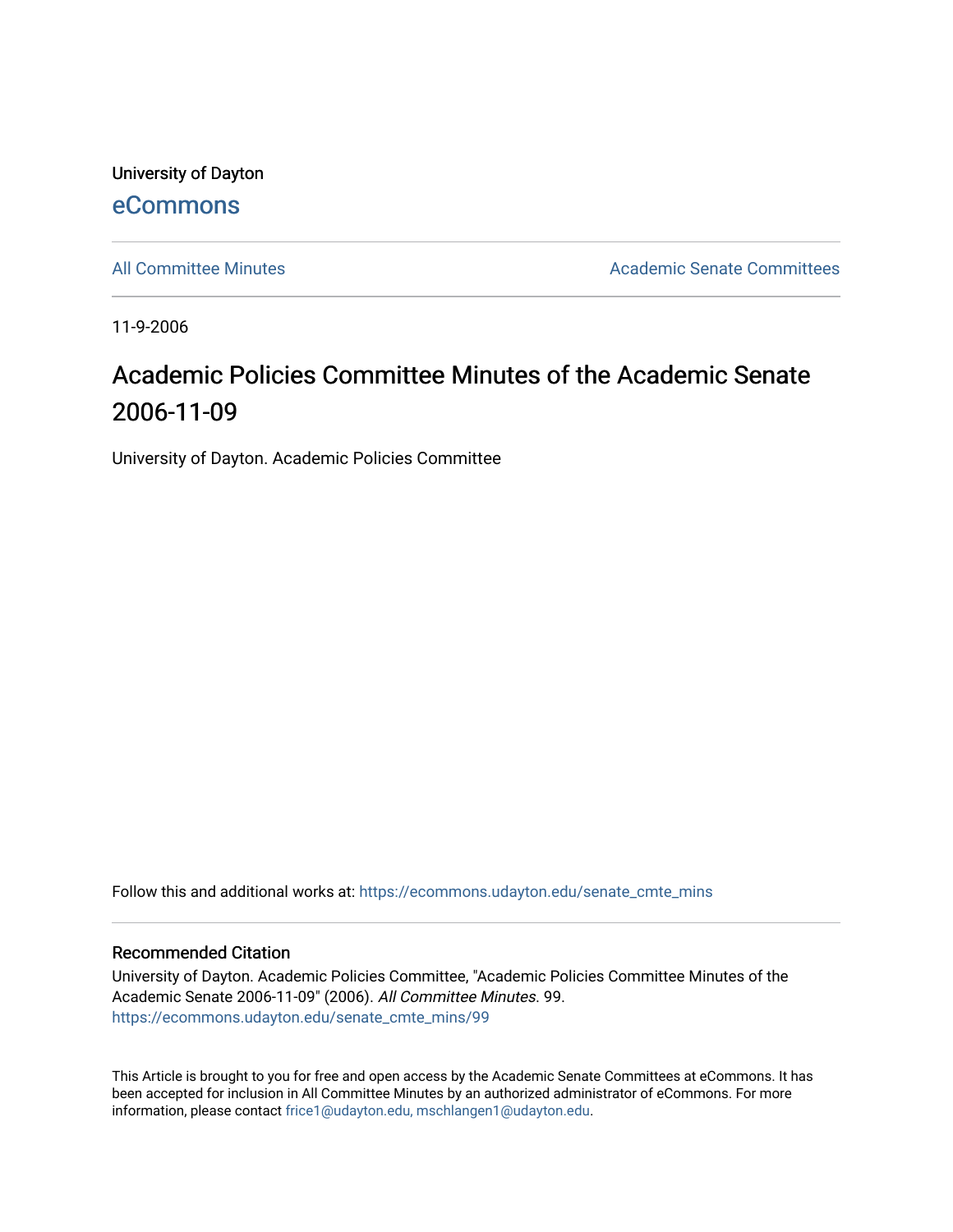University of Dayton [eCommons](https://ecommons.udayton.edu/)

[All Committee Minutes](https://ecommons.udayton.edu/senate_cmte_mins) **Academic Senate Committees** Academic Senate Committees

11-9-2006

# Academic Policies Committee Minutes of the Academic Senate 2006-11-09

University of Dayton. Academic Policies Committee

Follow this and additional works at: [https://ecommons.udayton.edu/senate\\_cmte\\_mins](https://ecommons.udayton.edu/senate_cmte_mins?utm_source=ecommons.udayton.edu%2Fsenate_cmte_mins%2F99&utm_medium=PDF&utm_campaign=PDFCoverPages)

#### Recommended Citation

University of Dayton. Academic Policies Committee, "Academic Policies Committee Minutes of the Academic Senate 2006-11-09" (2006). All Committee Minutes. 99. [https://ecommons.udayton.edu/senate\\_cmte\\_mins/99](https://ecommons.udayton.edu/senate_cmte_mins/99?utm_source=ecommons.udayton.edu%2Fsenate_cmte_mins%2F99&utm_medium=PDF&utm_campaign=PDFCoverPages) 

This Article is brought to you for free and open access by the Academic Senate Committees at eCommons. It has been accepted for inclusion in All Committee Minutes by an authorized administrator of eCommons. For more information, please contact [frice1@udayton.edu, mschlangen1@udayton.edu](mailto:frice1@udayton.edu,%20mschlangen1@udayton.edu).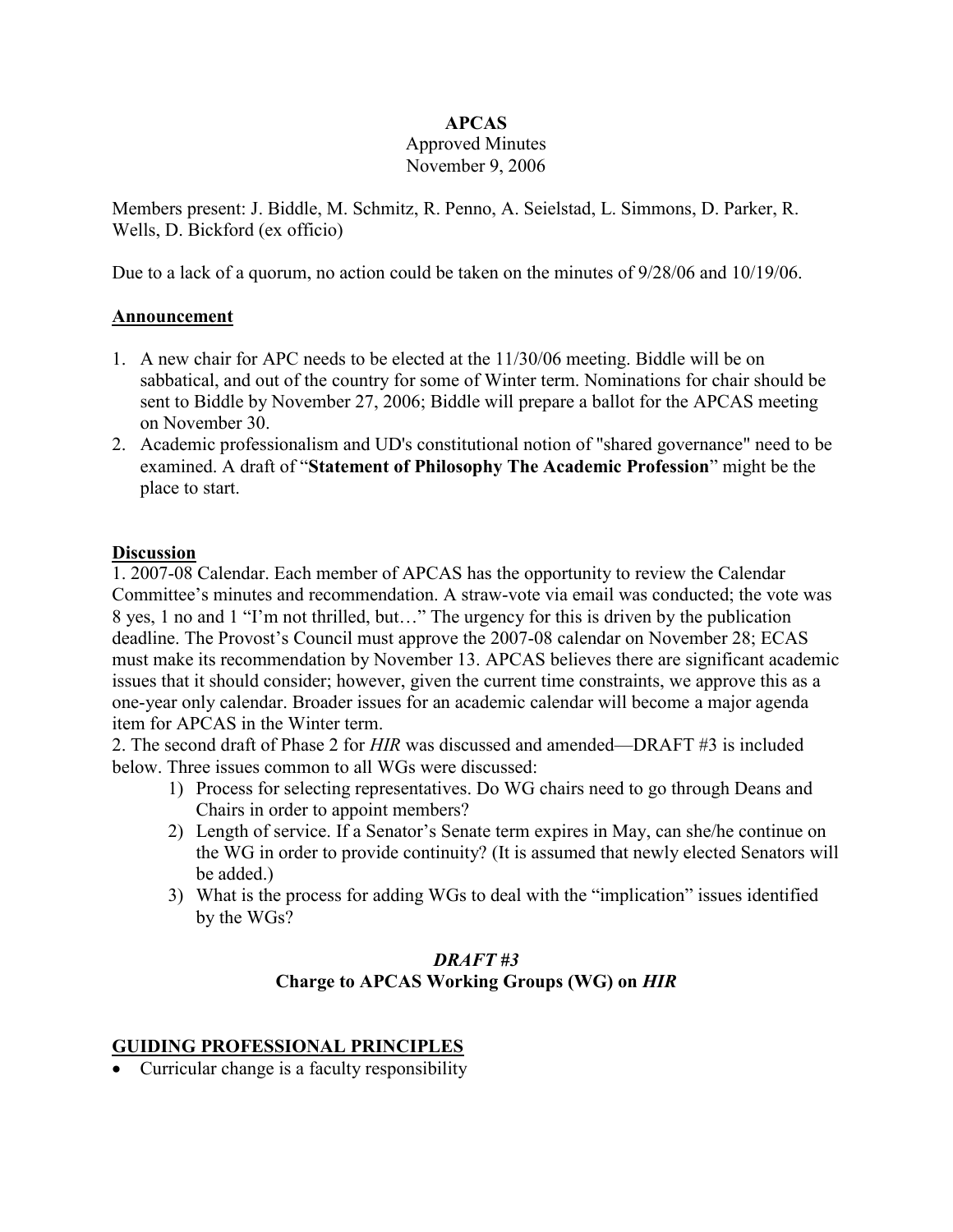### **APCAS**

#### Approved Minutes November 9, 2006

Members present: J. Biddle, M. Schmitz, R. Penno, A. Seielstad, L. Simmons, D. Parker, R. Wells, D. Bickford (ex officio)

Due to a lack of a quorum, no action could be taken on the minutes of 9/28/06 and 10/19/06.

#### **Announcement**

- 1. A new chair for APC needs to be elected at the 11/30/06 meeting. Biddle will be on sabbatical, and out of the country for some of Winter term. Nominations for chair should be sent to Biddle by November 27, 2006; Biddle will prepare a ballot for the APCAS meeting on November 30.
- 2. Academic professionalism and UD's constitutional notion of "shared governance" need to be examined. A draft of "**Statement of Philosophy The Academic Profession**" might be the place to start.

#### **Discussion**

1. 2007-08 Calendar. Each member of APCAS has the opportunity to review the Calendar Committee's minutes and recommendation. A straw-vote via email was conducted; the vote was 8 yes, 1 no and 1 "I'm not thrilled, but…" The urgency for this is driven by the publication deadline. The Provost's Council must approve the 2007-08 calendar on November 28; ECAS must make its recommendation by November 13. APCAS believes there are significant academic issues that it should consider; however, given the current time constraints, we approve this as a one-year only calendar. Broader issues for an academic calendar will become a major agenda item for APCAS in the Winter term.

2. The second draft of Phase 2 for *HIR* was discussed and amended—DRAFT #3 is included below. Three issues common to all WGs were discussed:

- 1) Process for selecting representatives. Do WG chairs need to go through Deans and Chairs in order to appoint members?
- 2) Length of service. If a Senator's Senate term expires in May, can she/he continue on the WG in order to provide continuity? (It is assumed that newly elected Senators will be added.)
- 3) What is the process for adding WGs to deal with the "implication" issues identified by the WGs?

### *DRAFT #3* **Charge to APCAS Working Groups (WG) on** *HIR*

### **GUIDING PROFESSIONAL PRINCIPLES**

• Curricular change is a faculty responsibility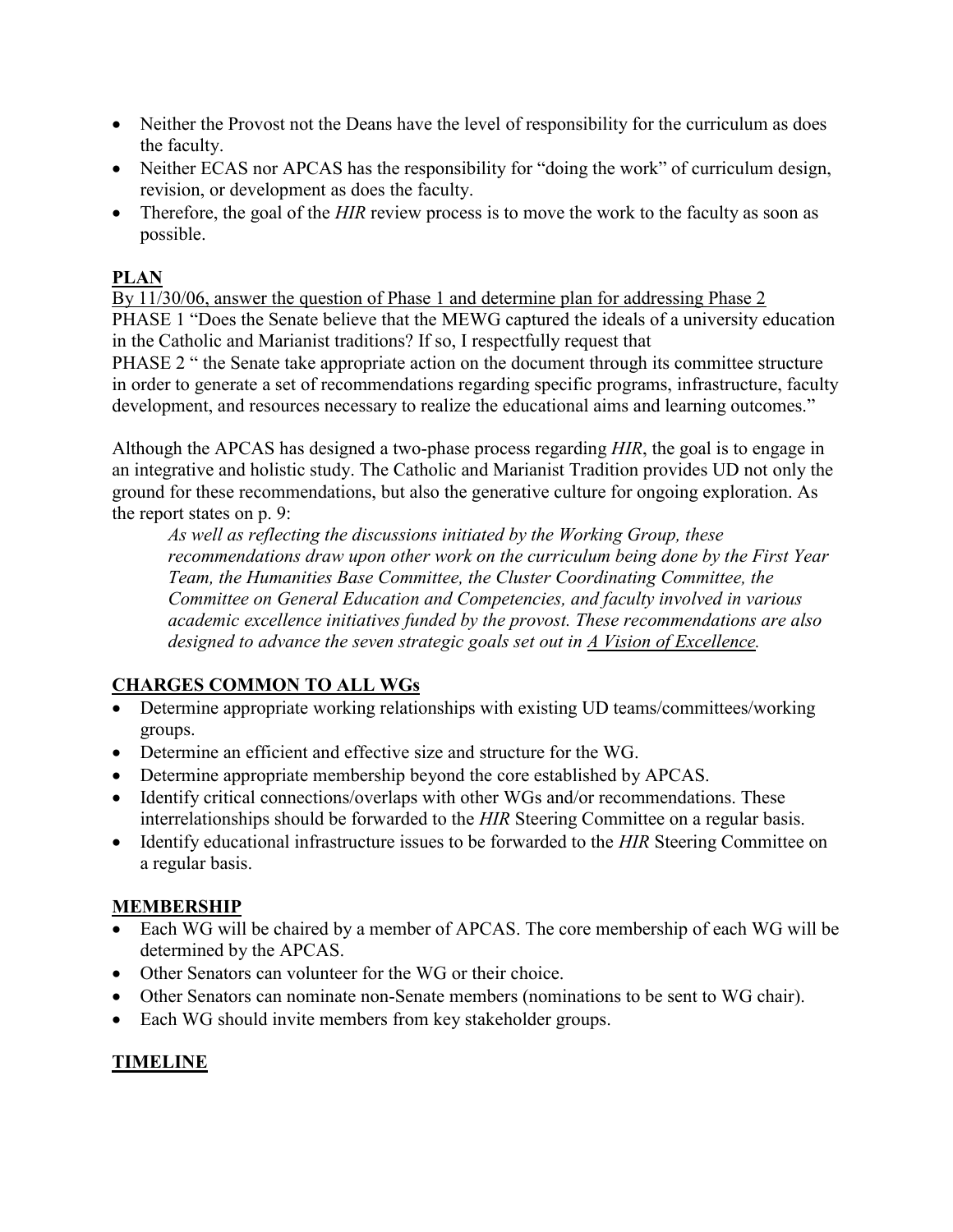- Neither the Provost not the Deans have the level of responsibility for the curriculum as does the faculty.
- Neither ECAS nor APCAS has the responsibility for "doing the work" of curriculum design, revision, or development as does the faculty.
- Therefore, the goal of the *HIR* review process is to move the work to the faculty as soon as possible.

# **PLAN**

By 11/30/06, answer the question of Phase 1 and determine plan for addressing Phase 2 PHASE 1 "Does the Senate believe that the MEWG captured the ideals of a university education in the Catholic and Marianist traditions? If so, I respectfully request that

PHASE 2 " the Senate take appropriate action on the document through its committee structure in order to generate a set of recommendations regarding specific programs, infrastructure, faculty development, and resources necessary to realize the educational aims and learning outcomes."

Although the APCAS has designed a two-phase process regarding *HIR*, the goal is to engage in an integrative and holistic study. The Catholic and Marianist Tradition provides UD not only the ground for these recommendations, but also the generative culture for ongoing exploration. As the report states on p. 9:

*As well as reflecting the discussions initiated by the Working Group, these recommendations draw upon other work on the curriculum being done by the First Year Team, the Humanities Base Committee, the Cluster Coordinating Committee, the Committee on General Education and Competencies, and faculty involved in various academic excellence initiatives funded by the provost. These recommendations are also designed to advance the seven strategic goals set out in A Vision of Excellence.*

# **CHARGES COMMON TO ALL WGs**

- Determine appropriate working relationships with existing UD teams/committees/working groups.
- Determine an efficient and effective size and structure for the WG.
- Determine appropriate membership beyond the core established by APCAS.
- Identify critical connections/overlaps with other WGs and/or recommendations. These interrelationships should be forwarded to the *HIR* Steering Committee on a regular basis.
- Identify educational infrastructure issues to be forwarded to the *HIR* Steering Committee on a regular basis.

# **MEMBERSHIP**

- Each WG will be chaired by a member of APCAS. The core membership of each WG will be determined by the APCAS.
- Other Senators can volunteer for the WG or their choice.
- Other Senators can nominate non-Senate members (nominations to be sent to WG chair).
- Each WG should invite members from key stakeholder groups.

# **TIMELINE**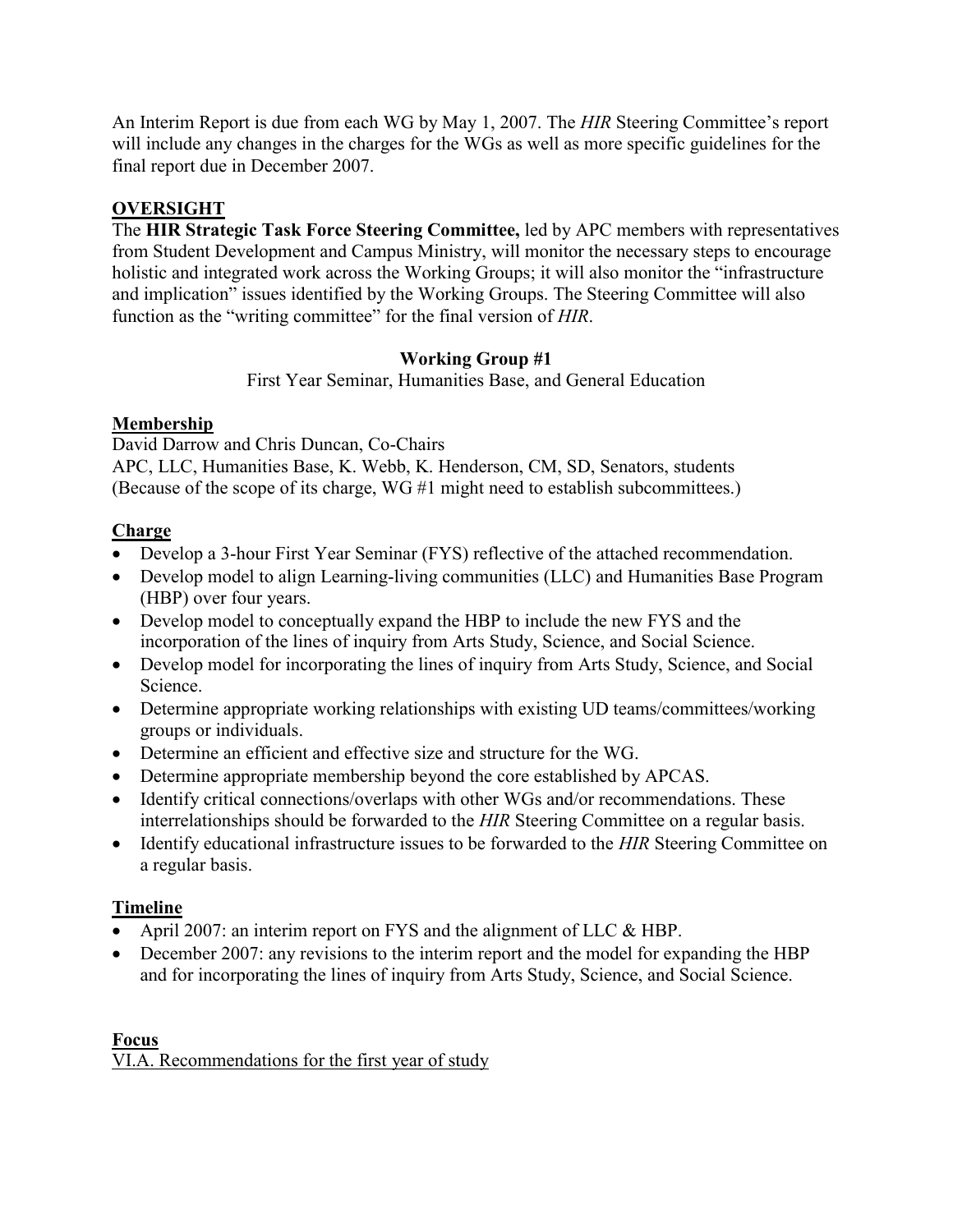An Interim Report is due from each WG by May 1, 2007. The *HIR* Steering Committee's report will include any changes in the charges for the WGs as well as more specific guidelines for the final report due in December 2007.

### **OVERSIGHT**

The **HIR Strategic Task Force Steering Committee,** led by APC members with representatives from Student Development and Campus Ministry, will monitor the necessary steps to encourage holistic and integrated work across the Working Groups; it will also monitor the "infrastructure and implication" issues identified by the Working Groups. The Steering Committee will also function as the "writing committee" for the final version of *HIR*.

### **Working Group #1**

First Year Seminar, Humanities Base, and General Education

### **Membership**

David Darrow and Chris Duncan, Co-Chairs

APC, LLC, Humanities Base, K. Webb, K. Henderson, CM, SD, Senators, students (Because of the scope of its charge, WG #1 might need to establish subcommittees.)

### **Charge**

- Develop a 3-hour First Year Seminar (FYS) reflective of the attached recommendation.
- Develop model to align Learning-living communities (LLC) and Humanities Base Program (HBP) over four years.
- Develop model to conceptually expand the HBP to include the new FYS and the incorporation of the lines of inquiry from Arts Study, Science, and Social Science.
- Develop model for incorporating the lines of inquiry from Arts Study, Science, and Social Science.
- Determine appropriate working relationships with existing UD teams/committees/working groups or individuals.
- Determine an efficient and effective size and structure for the WG.
- Determine appropriate membership beyond the core established by APCAS.
- Identify critical connections/overlaps with other WGs and/or recommendations. These interrelationships should be forwarded to the *HIR* Steering Committee on a regular basis.
- Identify educational infrastructure issues to be forwarded to the *HIR* Steering Committee on a regular basis.

# **Timeline**

- April 2007: an interim report on FYS and the alignment of LLC & HBP.
- December 2007: any revisions to the interim report and the model for expanding the HBP and for incorporating the lines of inquiry from Arts Study, Science, and Social Science.

#### **Focus** VI.A. Recommendations for the first year of study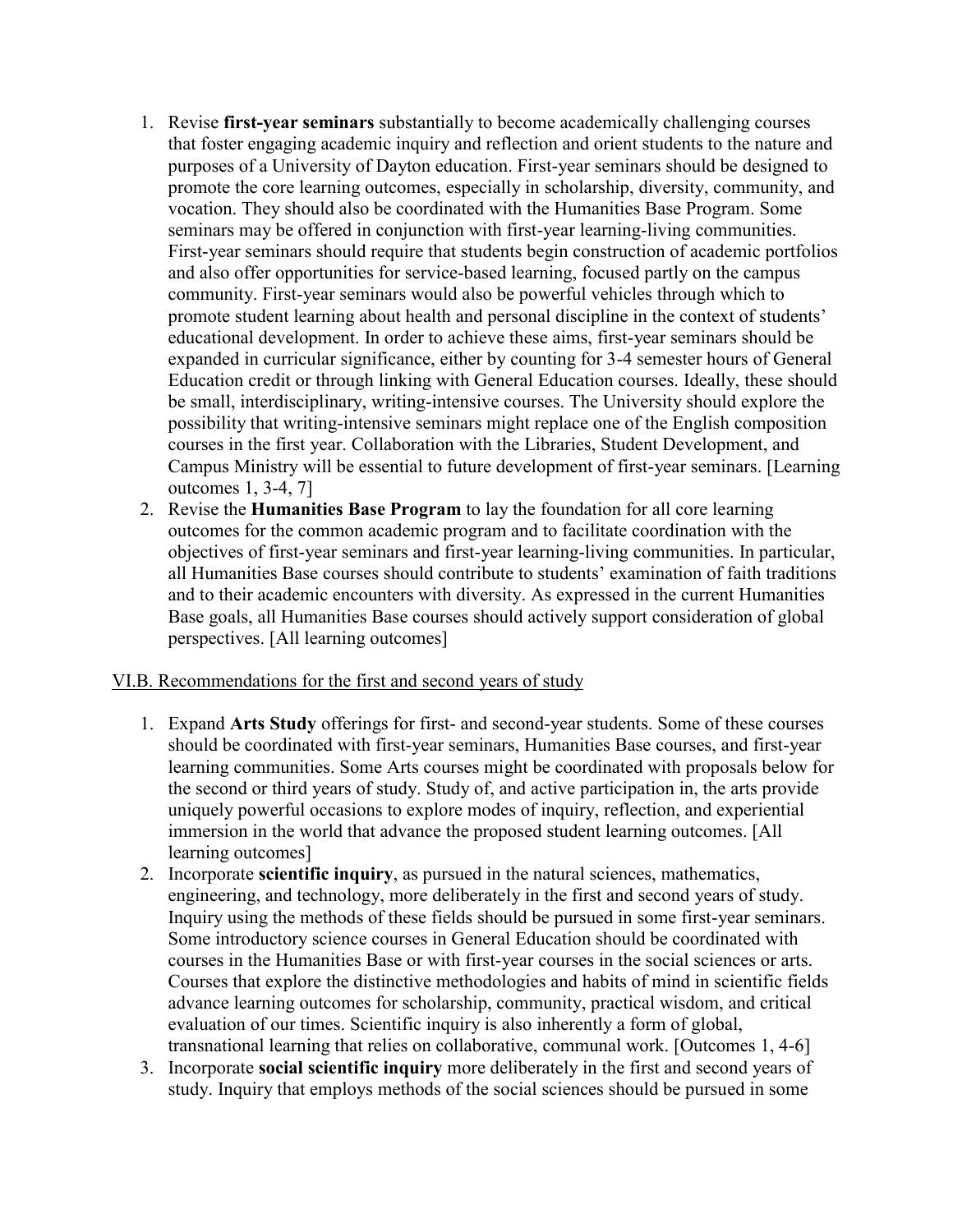- 1. Revise **first-year seminars** substantially to become academically challenging courses that foster engaging academic inquiry and reflection and orient students to the nature and purposes of a University of Dayton education. First-year seminars should be designed to promote the core learning outcomes, especially in scholarship, diversity, community, and vocation. They should also be coordinated with the Humanities Base Program. Some seminars may be offered in conjunction with first-year learning-living communities. First-year seminars should require that students begin construction of academic portfolios and also offer opportunities for service-based learning, focused partly on the campus community. First-year seminars would also be powerful vehicles through which to promote student learning about health and personal discipline in the context of students' educational development. In order to achieve these aims, first-year seminars should be expanded in curricular significance, either by counting for 3-4 semester hours of General Education credit or through linking with General Education courses. Ideally, these should be small, interdisciplinary, writing-intensive courses. The University should explore the possibility that writing-intensive seminars might replace one of the English composition courses in the first year. Collaboration with the Libraries, Student Development, and Campus Ministry will be essential to future development of first-year seminars. [Learning outcomes 1, 3-4, 7]
- 2. Revise the **Humanities Base Program** to lay the foundation for all core learning outcomes for the common academic program and to facilitate coordination with the objectives of first-year seminars and first-year learning-living communities. In particular, all Humanities Base courses should contribute to students' examination of faith traditions and to their academic encounters with diversity. As expressed in the current Humanities Base goals, all Humanities Base courses should actively support consideration of global perspectives. [All learning outcomes]

#### VI.B. Recommendations for the first and second years of study

- 1. Expand **Arts Study** offerings for first- and second-year students. Some of these courses should be coordinated with first-year seminars, Humanities Base courses, and first-year learning communities. Some Arts courses might be coordinated with proposals below for the second or third years of study. Study of, and active participation in, the arts provide uniquely powerful occasions to explore modes of inquiry, reflection, and experiential immersion in the world that advance the proposed student learning outcomes. [All learning outcomes]
- 2. Incorporate **scientific inquiry**, as pursued in the natural sciences, mathematics, engineering, and technology, more deliberately in the first and second years of study. Inquiry using the methods of these fields should be pursued in some first-year seminars. Some introductory science courses in General Education should be coordinated with courses in the Humanities Base or with first-year courses in the social sciences or arts. Courses that explore the distinctive methodologies and habits of mind in scientific fields advance learning outcomes for scholarship, community, practical wisdom, and critical evaluation of our times. Scientific inquiry is also inherently a form of global, transnational learning that relies on collaborative, communal work. [Outcomes 1, 4-6]
- 3. Incorporate **social scientific inquiry** more deliberately in the first and second years of study. Inquiry that employs methods of the social sciences should be pursued in some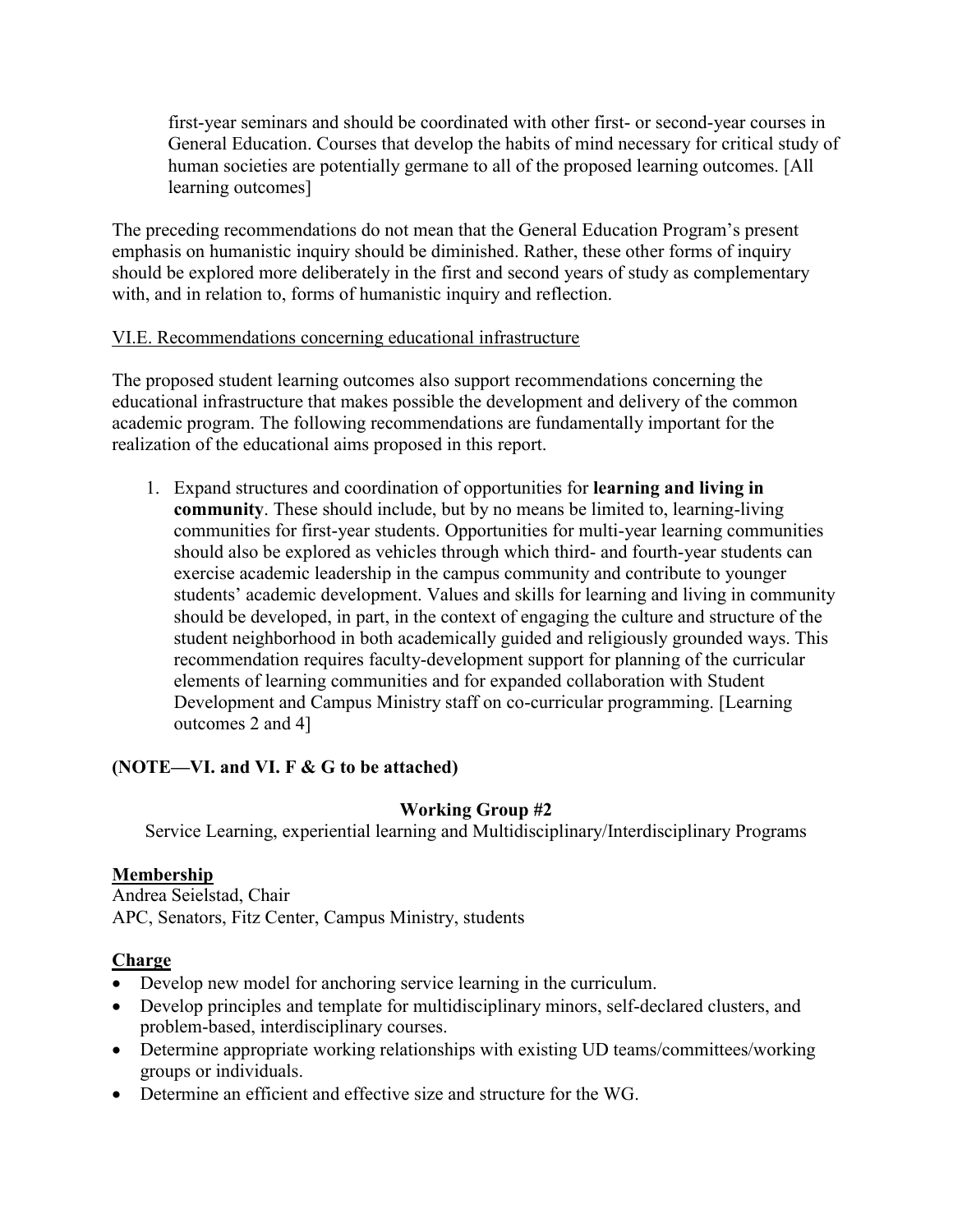first-year seminars and should be coordinated with other first- or second-year courses in General Education. Courses that develop the habits of mind necessary for critical study of human societies are potentially germane to all of the proposed learning outcomes. [All learning outcomes]

The preceding recommendations do not mean that the General Education Program's present emphasis on humanistic inquiry should be diminished. Rather, these other forms of inquiry should be explored more deliberately in the first and second years of study as complementary with, and in relation to, forms of humanistic inquiry and reflection.

### VI.E. Recommendations concerning educational infrastructure

The proposed student learning outcomes also support recommendations concerning the educational infrastructure that makes possible the development and delivery of the common academic program. The following recommendations are fundamentally important for the realization of the educational aims proposed in this report.

1. Expand structures and coordination of opportunities for **learning and living in community**. These should include, but by no means be limited to, learning-living communities for first-year students. Opportunities for multi-year learning communities should also be explored as vehicles through which third- and fourth-year students can exercise academic leadership in the campus community and contribute to younger students' academic development. Values and skills for learning and living in community should be developed, in part, in the context of engaging the culture and structure of the student neighborhood in both academically guided and religiously grounded ways. This recommendation requires faculty-development support for planning of the curricular elements of learning communities and for expanded collaboration with Student Development and Campus Ministry staff on co-curricular programming. [Learning outcomes 2 and 4]

### **(NOTE—VI. and VI. F & G to be attached)**

### **Working Group #2**

Service Learning, experiential learning and Multidisciplinary/Interdisciplinary Programs

#### **Membership**

Andrea Seielstad, Chair APC, Senators, Fitz Center, Campus Ministry, students

### **Charge**

- Develop new model for anchoring service learning in the curriculum.
- Develop principles and template for multidisciplinary minors, self-declared clusters, and problem-based, interdisciplinary courses.
- Determine appropriate working relationships with existing UD teams/committees/working groups or individuals.
- Determine an efficient and effective size and structure for the WG.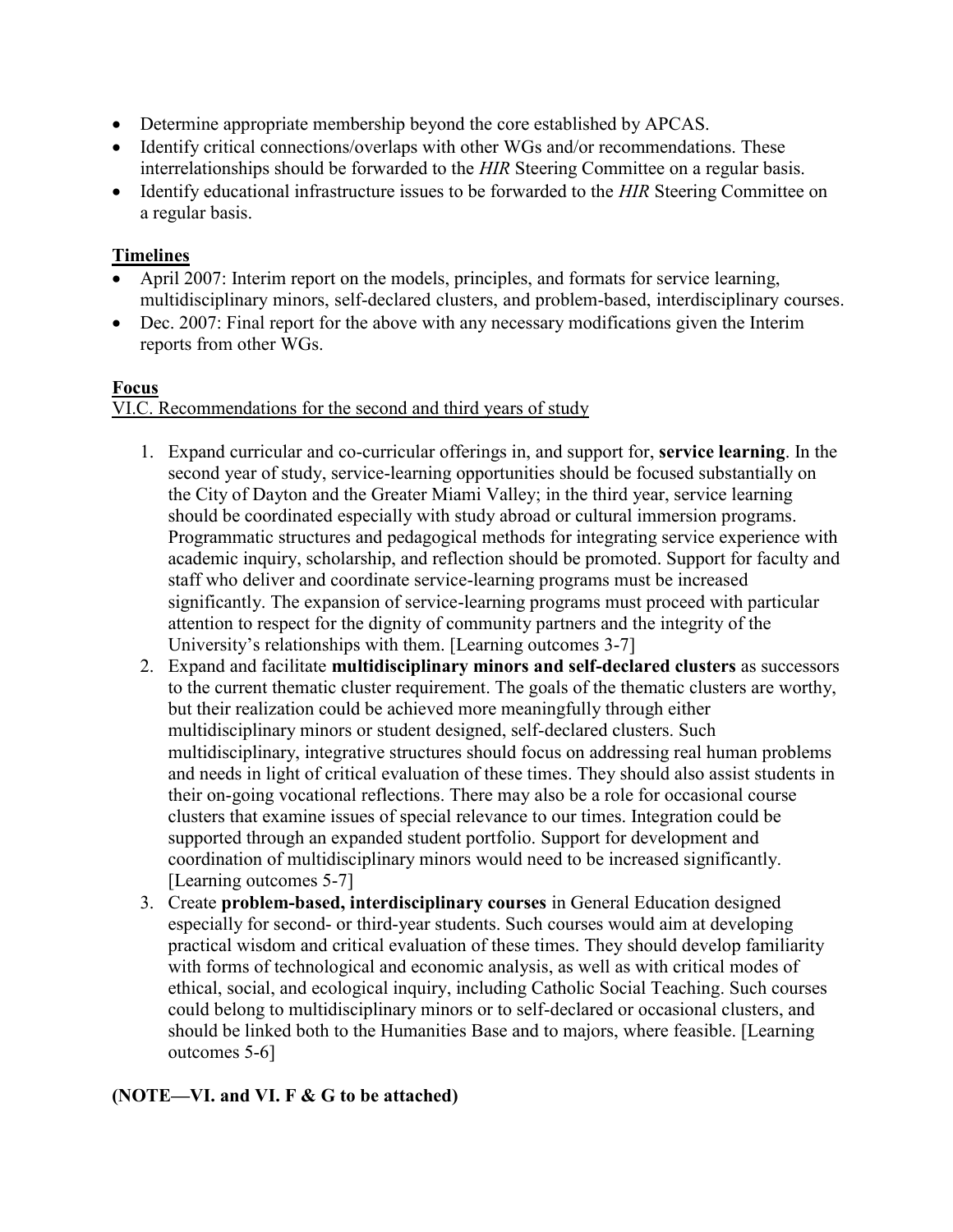- Determine appropriate membership beyond the core established by APCAS.
- Identify critical connections/overlaps with other WGs and/or recommendations. These interrelationships should be forwarded to the *HIR* Steering Committee on a regular basis.
- Identify educational infrastructure issues to be forwarded to the *HIR* Steering Committee on a regular basis.

### **Timelines**

- April 2007: Interim report on the models, principles, and formats for service learning, multidisciplinary minors, self-declared clusters, and problem-based, interdisciplinary courses.
- Dec. 2007: Final report for the above with any necessary modifications given the Interim reports from other WGs.

### **Focus**

### VI.C. Recommendations for the second and third years of study

- 1. Expand curricular and co-curricular offerings in, and support for, **service learning**. In the second year of study, service-learning opportunities should be focused substantially on the City of Dayton and the Greater Miami Valley; in the third year, service learning should be coordinated especially with study abroad or cultural immersion programs. Programmatic structures and pedagogical methods for integrating service experience with academic inquiry, scholarship, and reflection should be promoted. Support for faculty and staff who deliver and coordinate service-learning programs must be increased significantly. The expansion of service-learning programs must proceed with particular attention to respect for the dignity of community partners and the integrity of the University's relationships with them. [Learning outcomes 3-7]
- 2. Expand and facilitate **multidisciplinary minors and self-declared clusters** as successors to the current thematic cluster requirement. The goals of the thematic clusters are worthy, but their realization could be achieved more meaningfully through either multidisciplinary minors or student designed, self-declared clusters. Such multidisciplinary, integrative structures should focus on addressing real human problems and needs in light of critical evaluation of these times. They should also assist students in their on-going vocational reflections. There may also be a role for occasional course clusters that examine issues of special relevance to our times. Integration could be supported through an expanded student portfolio. Support for development and coordination of multidisciplinary minors would need to be increased significantly. [Learning outcomes 5-7]
- 3. Create **problem-based, interdisciplinary courses** in General Education designed especially for second- or third-year students. Such courses would aim at developing practical wisdom and critical evaluation of these times. They should develop familiarity with forms of technological and economic analysis, as well as with critical modes of ethical, social, and ecological inquiry, including Catholic Social Teaching. Such courses could belong to multidisciplinary minors or to self-declared or occasional clusters, and should be linked both to the Humanities Base and to majors, where feasible. [Learning outcomes 5-6]

# **(NOTE—VI. and VI. F & G to be attached)**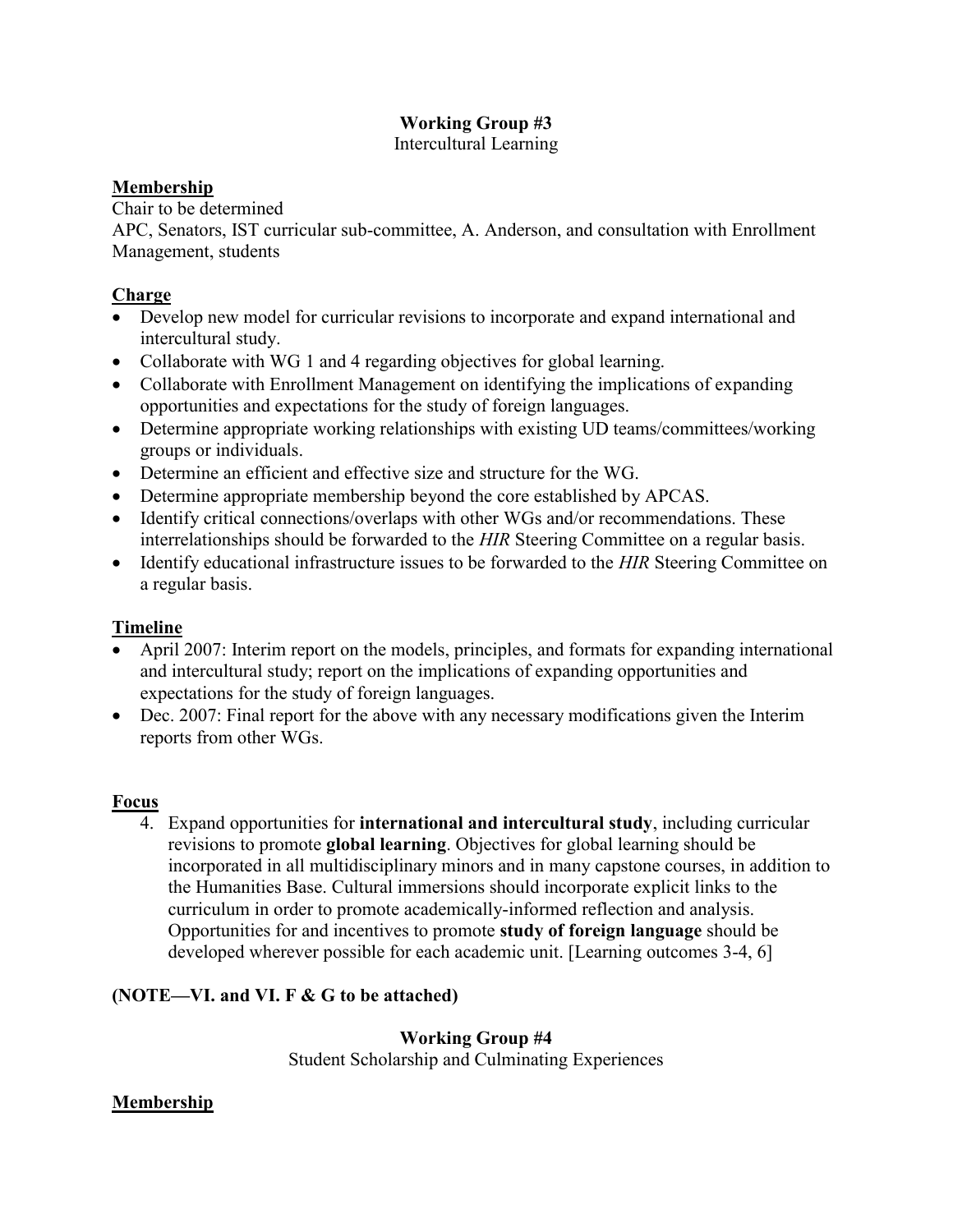# **Working Group #3**

Intercultural Learning

### **Membership**

Chair to be determined

APC, Senators, IST curricular sub-committee, A. Anderson, and consultation with Enrollment Management, students

### **Charge**

- Develop new model for curricular revisions to incorporate and expand international and intercultural study.
- Collaborate with WG 1 and 4 regarding objectives for global learning.
- Collaborate with Enrollment Management on identifying the implications of expanding opportunities and expectations for the study of foreign languages.
- Determine appropriate working relationships with existing UD teams/committees/working groups or individuals.
- Determine an efficient and effective size and structure for the WG.
- Determine appropriate membership beyond the core established by APCAS.
- Identify critical connections/overlaps with other WGs and/or recommendations. These interrelationships should be forwarded to the *HIR* Steering Committee on a regular basis.
- Identify educational infrastructure issues to be forwarded to the *HIR* Steering Committee on a regular basis.

# **Timeline**

- April 2007: Interim report on the models, principles, and formats for expanding international and intercultural study; report on the implications of expanding opportunities and expectations for the study of foreign languages.
- Dec. 2007: Final report for the above with any necessary modifications given the Interim reports from other WGs.

### **Focus**

4. Expand opportunities for **international and intercultural study**, including curricular revisions to promote **global learning**. Objectives for global learning should be incorporated in all multidisciplinary minors and in many capstone courses, in addition to the Humanities Base. Cultural immersions should incorporate explicit links to the curriculum in order to promote academically-informed reflection and analysis. Opportunities for and incentives to promote **study of foreign language** should be developed wherever possible for each academic unit. [Learning outcomes 3-4, 6]

### **(NOTE—VI. and VI. F & G to be attached)**

### **Working Group #4**

Student Scholarship and Culminating Experiences

### **Membership**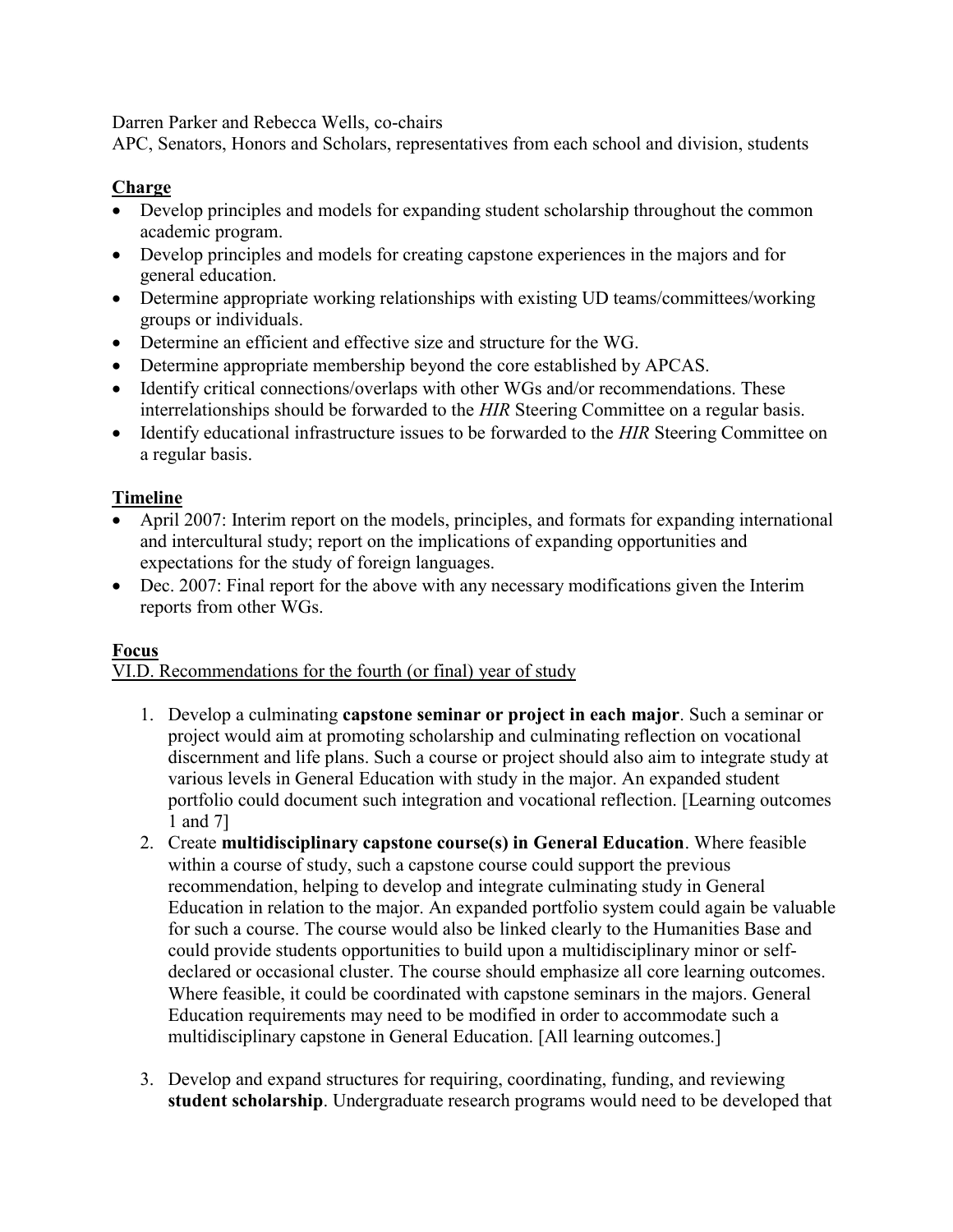Darren Parker and Rebecca Wells, co-chairs

APC, Senators, Honors and Scholars, representatives from each school and division, students

# **Charge**

- Develop principles and models for expanding student scholarship throughout the common academic program.
- Develop principles and models for creating capstone experiences in the majors and for general education.
- Determine appropriate working relationships with existing UD teams/committees/working groups or individuals.
- Determine an efficient and effective size and structure for the WG.
- Determine appropriate membership beyond the core established by APCAS.
- Identify critical connections/overlaps with other WGs and/or recommendations. These interrelationships should be forwarded to the *HIR* Steering Committee on a regular basis.
- Identify educational infrastructure issues to be forwarded to the *HIR* Steering Committee on a regular basis.

# **Timeline**

- April 2007: Interim report on the models, principles, and formats for expanding international and intercultural study; report on the implications of expanding opportunities and expectations for the study of foreign languages.
- Dec. 2007: Final report for the above with any necessary modifications given the Interim reports from other WGs.

### **Focus**

VI.D. Recommendations for the fourth (or final) year of study

- 1. Develop a culminating **capstone seminar or project in each major**. Such a seminar or project would aim at promoting scholarship and culminating reflection on vocational discernment and life plans. Such a course or project should also aim to integrate study at various levels in General Education with study in the major. An expanded student portfolio could document such integration and vocational reflection. [Learning outcomes 1 and 7]
- 2. Create **multidisciplinary capstone course(s) in General Education**. Where feasible within a course of study, such a capstone course could support the previous recommendation, helping to develop and integrate culminating study in General Education in relation to the major. An expanded portfolio system could again be valuable for such a course. The course would also be linked clearly to the Humanities Base and could provide students opportunities to build upon a multidisciplinary minor or selfdeclared or occasional cluster. The course should emphasize all core learning outcomes. Where feasible, it could be coordinated with capstone seminars in the majors. General Education requirements may need to be modified in order to accommodate such a multidisciplinary capstone in General Education. [All learning outcomes.]
- 3. Develop and expand structures for requiring, coordinating, funding, and reviewing **student scholarship**. Undergraduate research programs would need to be developed that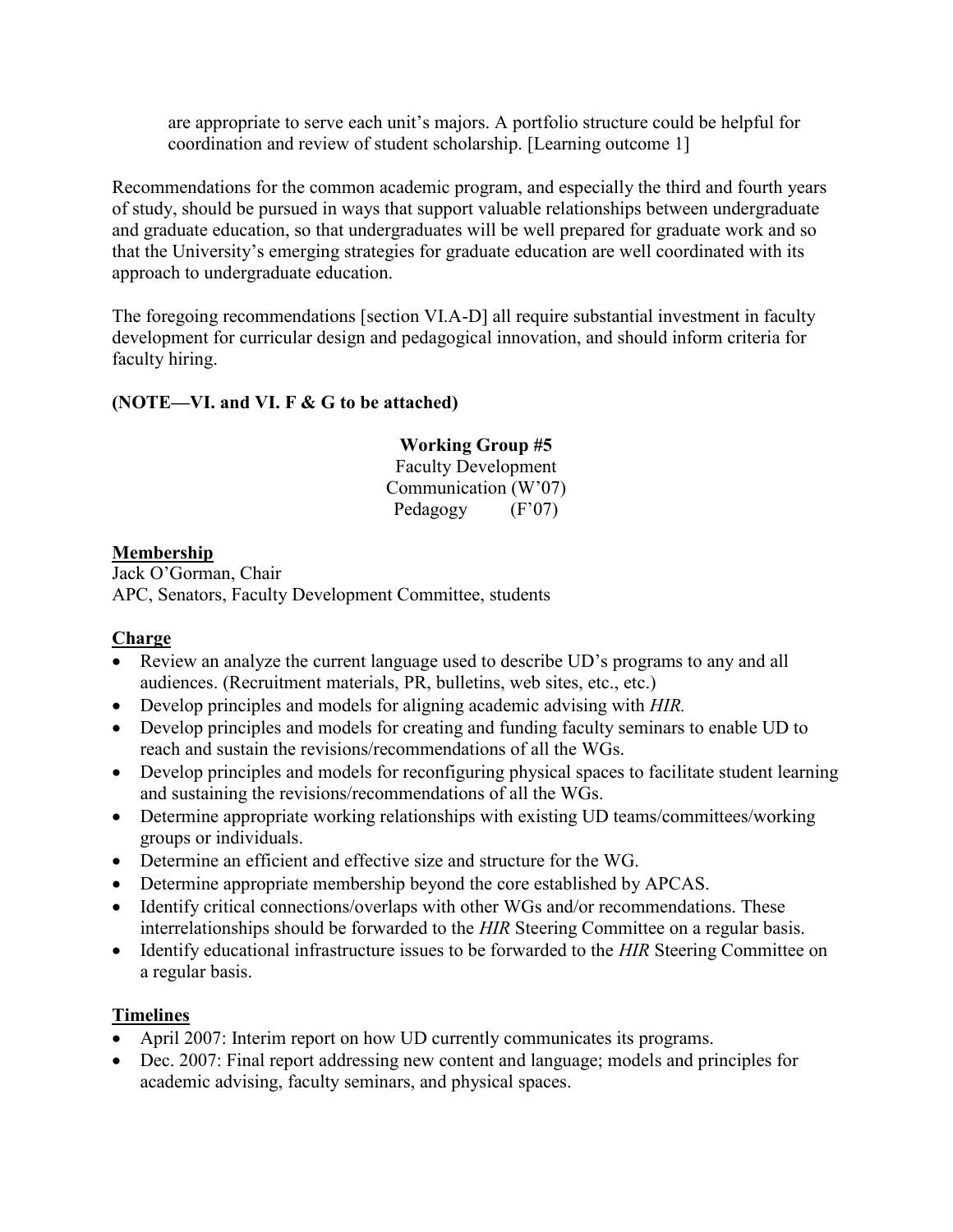are appropriate to serve each unit's majors. A portfolio structure could be helpful for coordination and review of student scholarship. [Learning outcome 1]

Recommendations for the common academic program, and especially the third and fourth years of study, should be pursued in ways that support valuable relationships between undergraduate and graduate education, so that undergraduates will be well prepared for graduate work and so that the University's emerging strategies for graduate education are well coordinated with its approach to undergraduate education.

The foregoing recommendations [section VI.A-D] all require substantial investment in faculty development for curricular design and pedagogical innovation, and should inform criteria for faculty hiring.

# **(NOTE—VI. and VI. F & G to be attached)**

# **Working Group #5**

Faculty Development Communication (W'07) Pedagogy  $(F'07)$ 

### **Membership**

Jack O'Gorman, Chair APC, Senators, Faculty Development Committee, students

### **Charge**

- Review an analyze the current language used to describe UD's programs to any and all audiences. (Recruitment materials, PR, bulletins, web sites, etc., etc.)
- Develop principles and models for aligning academic advising with *HIR.*
- Develop principles and models for creating and funding faculty seminars to enable UD to reach and sustain the revisions/recommendations of all the WGs.
- Develop principles and models for reconfiguring physical spaces to facilitate student learning and sustaining the revisions/recommendations of all the WGs.
- Determine appropriate working relationships with existing UD teams/committees/working groups or individuals.
- Determine an efficient and effective size and structure for the WG.
- Determine appropriate membership beyond the core established by APCAS.
- Identify critical connections/overlaps with other WGs and/or recommendations. These interrelationships should be forwarded to the *HIR* Steering Committee on a regular basis.
- Identify educational infrastructure issues to be forwarded to the *HIR* Steering Committee on a regular basis.

# **Timelines**

- April 2007: Interim report on how UD currently communicates its programs.
- Dec. 2007: Final report addressing new content and language; models and principles for academic advising, faculty seminars, and physical spaces.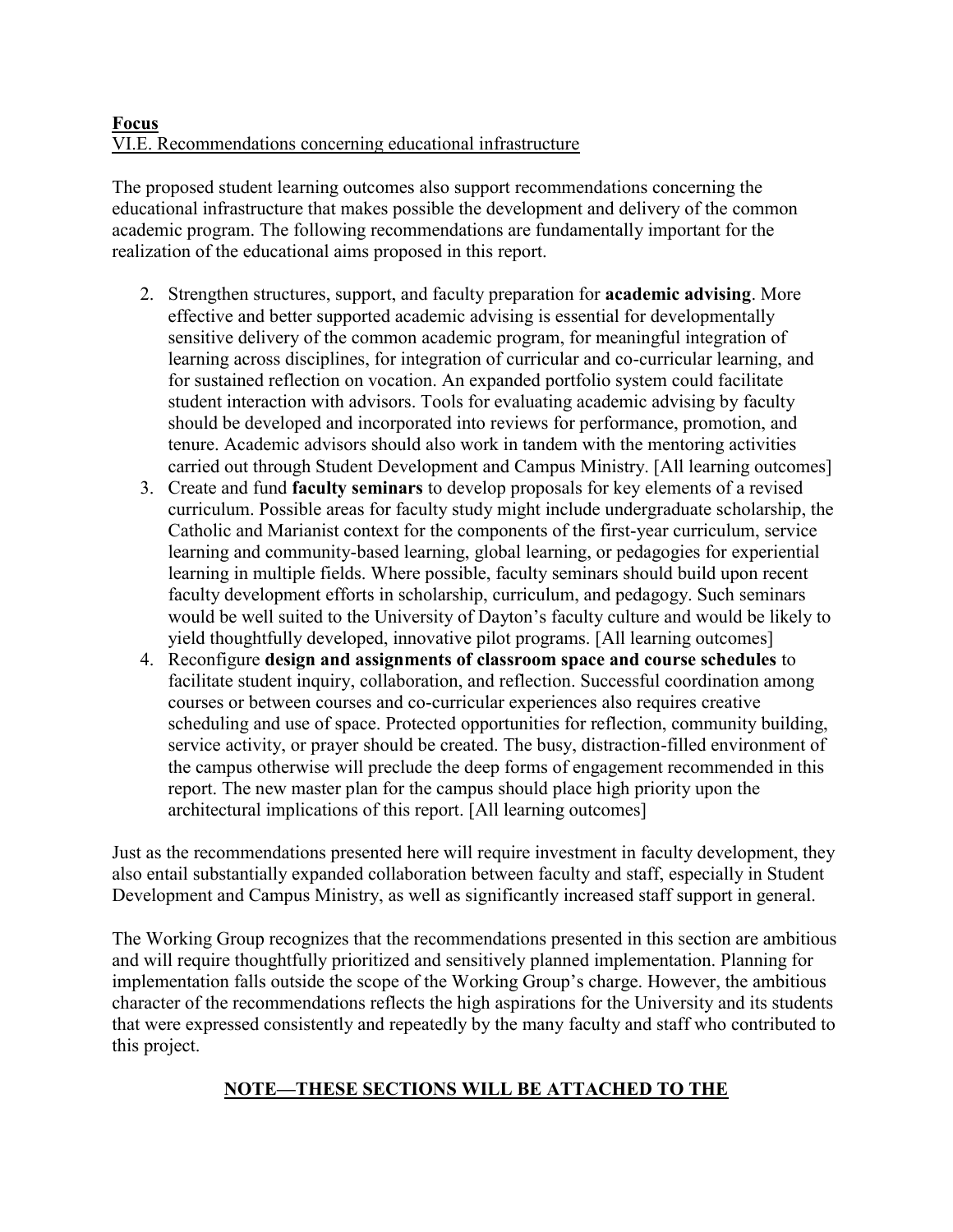#### **Focus** VI.E. Recommendations concerning educational infrastructure

The proposed student learning outcomes also support recommendations concerning the educational infrastructure that makes possible the development and delivery of the common academic program. The following recommendations are fundamentally important for the realization of the educational aims proposed in this report.

- 2. Strengthen structures, support, and faculty preparation for **academic advising**. More effective and better supported academic advising is essential for developmentally sensitive delivery of the common academic program, for meaningful integration of learning across disciplines, for integration of curricular and co-curricular learning, and for sustained reflection on vocation. An expanded portfolio system could facilitate student interaction with advisors. Tools for evaluating academic advising by faculty should be developed and incorporated into reviews for performance, promotion, and tenure. Academic advisors should also work in tandem with the mentoring activities carried out through Student Development and Campus Ministry. [All learning outcomes]
- 3. Create and fund **faculty seminars** to develop proposals for key elements of a revised curriculum. Possible areas for faculty study might include undergraduate scholarship, the Catholic and Marianist context for the components of the first-year curriculum, service learning and community-based learning, global learning, or pedagogies for experiential learning in multiple fields. Where possible, faculty seminars should build upon recent faculty development efforts in scholarship, curriculum, and pedagogy. Such seminars would be well suited to the University of Dayton's faculty culture and would be likely to yield thoughtfully developed, innovative pilot programs. [All learning outcomes]
- 4. Reconfigure **design and assignments of classroom space and course schedules** to facilitate student inquiry, collaboration, and reflection. Successful coordination among courses or between courses and co-curricular experiences also requires creative scheduling and use of space. Protected opportunities for reflection, community building, service activity, or prayer should be created. The busy, distraction-filled environment of the campus otherwise will preclude the deep forms of engagement recommended in this report. The new master plan for the campus should place high priority upon the architectural implications of this report. [All learning outcomes]

Just as the recommendations presented here will require investment in faculty development, they also entail substantially expanded collaboration between faculty and staff, especially in Student Development and Campus Ministry, as well as significantly increased staff support in general.

The Working Group recognizes that the recommendations presented in this section are ambitious and will require thoughtfully prioritized and sensitively planned implementation. Planning for implementation falls outside the scope of the Working Group's charge. However, the ambitious character of the recommendations reflects the high aspirations for the University and its students that were expressed consistently and repeatedly by the many faculty and staff who contributed to this project.

# **NOTE—THESE SECTIONS WILL BE ATTACHED TO THE**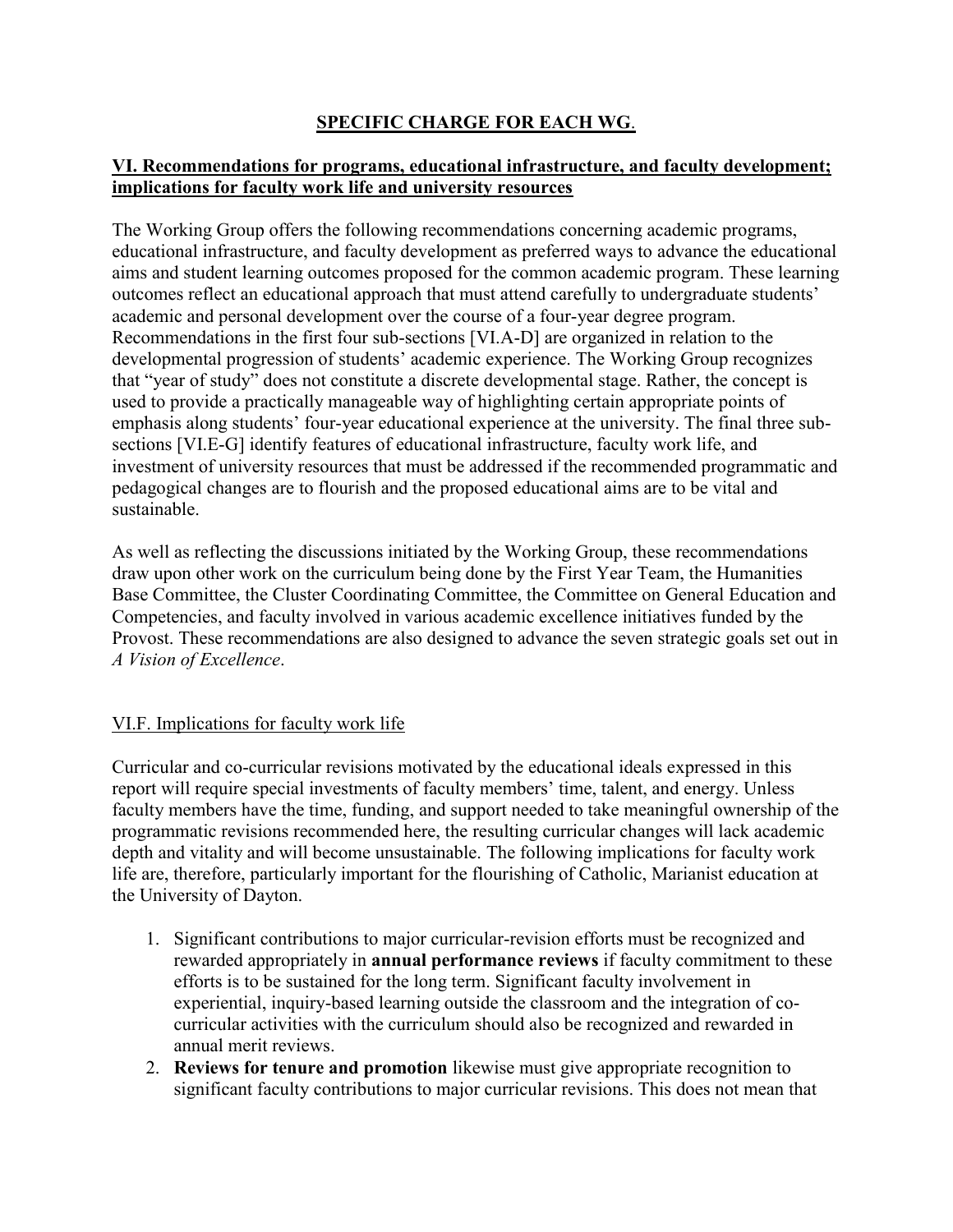# **SPECIFIC CHARGE FOR EACH WG**.

### **VI. Recommendations for programs, educational infrastructure, and faculty development; implications for faculty work life and university resources**

The Working Group offers the following recommendations concerning academic programs, educational infrastructure, and faculty development as preferred ways to advance the educational aims and student learning outcomes proposed for the common academic program. These learning outcomes reflect an educational approach that must attend carefully to undergraduate students' academic and personal development over the course of a four-year degree program. Recommendations in the first four sub-sections [VI.A-D] are organized in relation to the developmental progression of students' academic experience. The Working Group recognizes that "year of study" does not constitute a discrete developmental stage. Rather, the concept is used to provide a practically manageable way of highlighting certain appropriate points of emphasis along students' four-year educational experience at the university. The final three subsections [VI.E-G] identify features of educational infrastructure, faculty work life, and investment of university resources that must be addressed if the recommended programmatic and pedagogical changes are to flourish and the proposed educational aims are to be vital and sustainable.

As well as reflecting the discussions initiated by the Working Group, these recommendations draw upon other work on the curriculum being done by the First Year Team, the Humanities Base Committee, the Cluster Coordinating Committee, the Committee on General Education and Competencies, and faculty involved in various academic excellence initiatives funded by the Provost. These recommendations are also designed to advance the seven strategic goals set out in *A Vision of Excellence*.

# VI.F. Implications for faculty work life

Curricular and co-curricular revisions motivated by the educational ideals expressed in this report will require special investments of faculty members' time, talent, and energy. Unless faculty members have the time, funding, and support needed to take meaningful ownership of the programmatic revisions recommended here, the resulting curricular changes will lack academic depth and vitality and will become unsustainable. The following implications for faculty work life are, therefore, particularly important for the flourishing of Catholic, Marianist education at the University of Dayton.

- 1. Significant contributions to major curricular-revision efforts must be recognized and rewarded appropriately in **annual performance reviews** if faculty commitment to these efforts is to be sustained for the long term. Significant faculty involvement in experiential, inquiry-based learning outside the classroom and the integration of cocurricular activities with the curriculum should also be recognized and rewarded in annual merit reviews.
- 2. **Reviews for tenure and promotion** likewise must give appropriate recognition to significant faculty contributions to major curricular revisions. This does not mean that